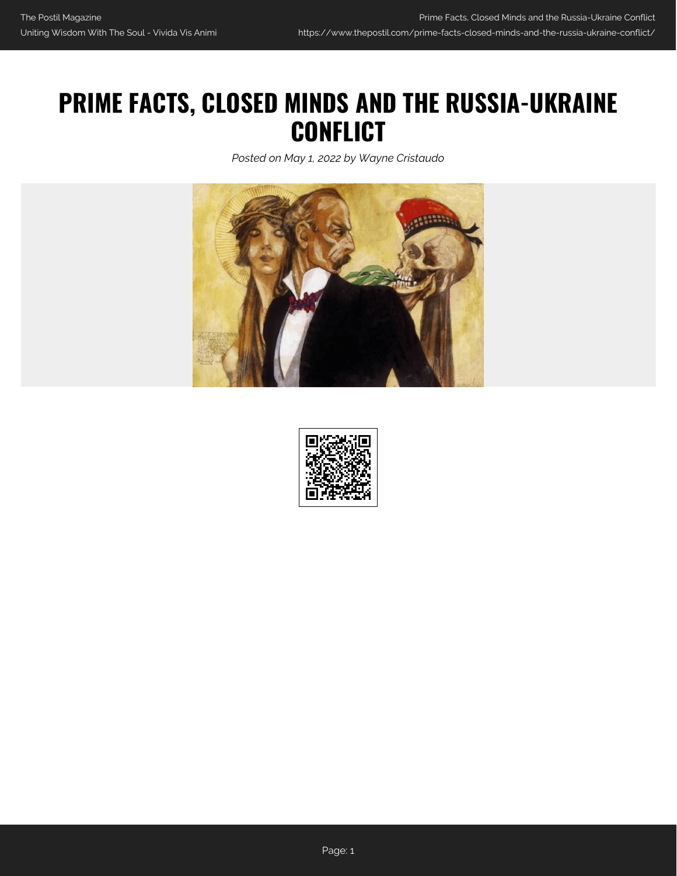## **PRIME FACTS, CLOSED MINDS AND THE RUSSIA-UKRAINE CONFLICT**

*Posted on May 1, 2022 by Wayne Cristaudo*



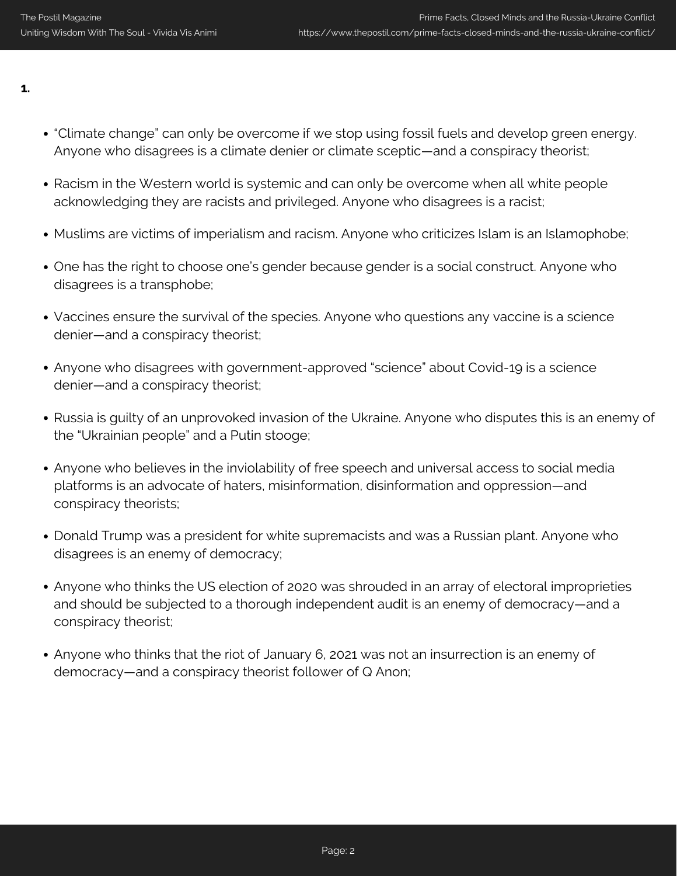**1.**

- "Climate change" can only be overcome if we stop using fossil fuels and develop green energy. Anyone who disagrees is a climate denier or climate sceptic—and a conspiracy theorist;
- Racism in the Western world is systemic and can only be overcome when all white people acknowledging they are racists and privileged. Anyone who disagrees is a racist;
- Muslims are victims of imperialism and racism. Anyone who criticizes Islam is an Islamophobe;
- One has the right to choose one's gender because gender is a social construct. Anyone who disagrees is a transphobe;
- Vaccines ensure the survival of the species. Anyone who questions any vaccine is a science denier—and a conspiracy theorist;
- Anyone who disagrees with government-approved "science" about Covid-19 is a science denier—and a conspiracy theorist;
- Russia is guilty of an unprovoked invasion of the Ukraine. Anyone who disputes this is an enemy of the "Ukrainian people" and a Putin stooge;
- Anyone who believes in the inviolability of free speech and universal access to social media platforms is an advocate of haters, misinformation, disinformation and oppression—and conspiracy theorists;
- Donald Trump was a president for white supremacists and was a Russian plant. Anyone who disagrees is an enemy of democracy;
- Anyone who thinks the US election of 2020 was shrouded in an array of electoral improprieties and should be subjected to a thorough independent audit is an enemy of democracy—and a conspiracy theorist;
- Anyone who thinks that the riot of January 6, 2021 was not an insurrection is an enemy of democracy—and a conspiracy theorist follower of Q Anon;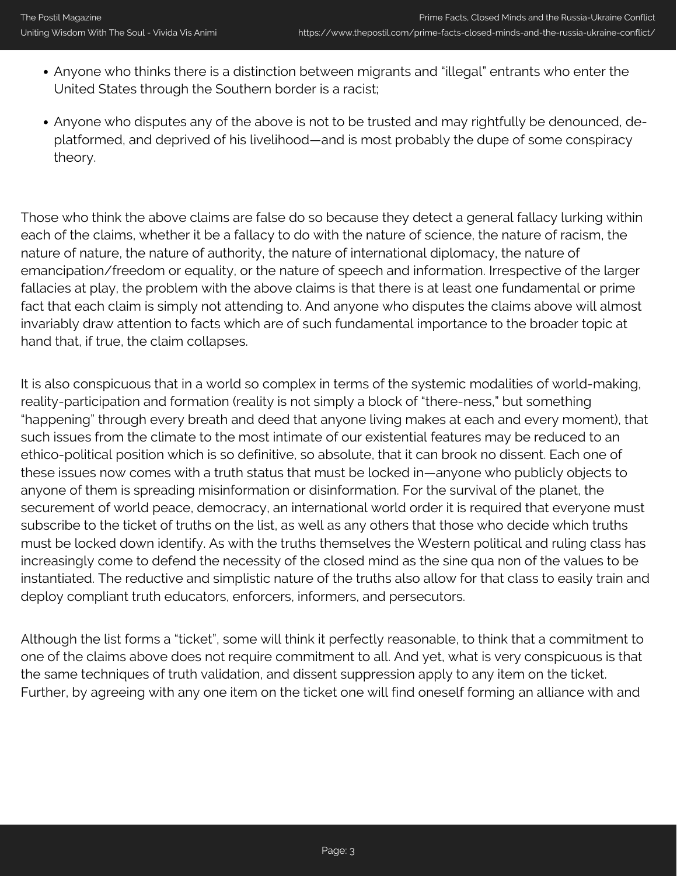- Anyone who thinks there is a distinction between migrants and "illegal" entrants who enter the United States through the Southern border is a racist;
- Anyone who disputes any of the above is not to be trusted and may rightfully be denounced, deplatformed, and deprived of his livelihood—and is most probably the dupe of some conspiracy theory.

Those who think the above claims are false do so because they detect a general fallacy lurking within each of the claims, whether it be a fallacy to do with the nature of science, the nature of racism, the nature of nature, the nature of authority, the nature of international diplomacy, the nature of emancipation/freedom or equality, or the nature of speech and information. Irrespective of the larger fallacies at play, the problem with the above claims is that there is at least one fundamental or prime fact that each claim is simply not attending to. And anyone who disputes the claims above will almost invariably draw attention to facts which are of such fundamental importance to the broader topic at hand that, if true, the claim collapses.

It is also conspicuous that in a world so complex in terms of the systemic modalities of world-making, reality-participation and formation (reality is not simply a block of "there-ness," but something "happening" through every breath and deed that anyone living makes at each and every moment), that such issues from the climate to the most intimate of our existential features may be reduced to an ethico-political position which is so definitive, so absolute, that it can brook no dissent. Each one of these issues now comes with a truth status that must be locked in—anyone who publicly objects to anyone of them is spreading misinformation or disinformation. For the survival of the planet, the securement of world peace, democracy, an international world order it is required that everyone must subscribe to the ticket of truths on the list, as well as any others that those who decide which truths must be locked down identify. As with the truths themselves the Western political and ruling class has increasingly come to defend the necessity of the closed mind as the sine qua non of the values to be instantiated. The reductive and simplistic nature of the truths also allow for that class to easily train and deploy compliant truth educators, enforcers, informers, and persecutors.

Although the list forms a "ticket", some will think it perfectly reasonable, to think that a commitment to one of the claims above does not require commitment to all. And yet, what is very conspicuous is that the same techniques of truth validation, and dissent suppression apply to any item on the ticket. Further, by agreeing with any one item on the ticket one will find oneself forming an alliance with and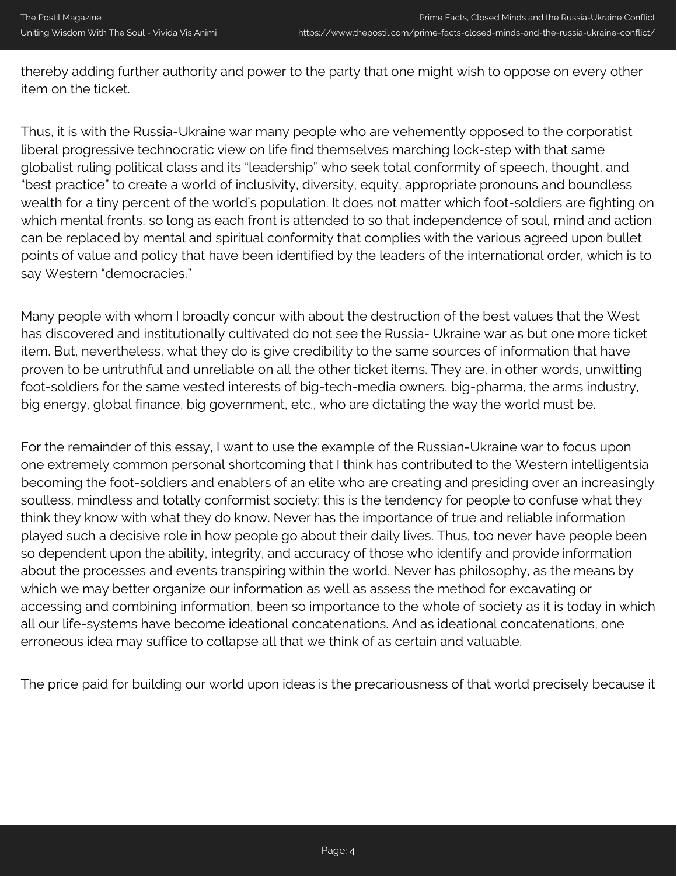thereby adding further authority and power to the party that one might wish to oppose on every other item on the ticket.

Thus, it is with the Russia-Ukraine war many people who are vehemently opposed to the corporatist liberal progressive technocratic view on life find themselves marching lock-step with that same globalist ruling political class and its "leadership" who seek total conformity of speech, thought, and "best practice" to create a world of inclusivity, diversity, equity, appropriate pronouns and boundless wealth for a tiny percent of the world's population. It does not matter which foot-soldiers are fighting on which mental fronts, so long as each front is attended to so that independence of soul, mind and action can be replaced by mental and spiritual conformity that complies with the various agreed upon bullet points of value and policy that have been identified by the leaders of the international order, which is to say Western "democracies."

Many people with whom I broadly concur with about the destruction of the best values that the West has discovered and institutionally cultivated do not see the Russia- Ukraine war as but one more ticket item. But, nevertheless, what they do is give credibility to the same sources of information that have proven to be untruthful and unreliable on all the other ticket items. They are, in other words, unwitting foot-soldiers for the same vested interests of big-tech-media owners, big-pharma, the arms industry, big energy, global finance, big government, etc., who are dictating the way the world must be.

For the remainder of this essay, I want to use the example of the Russian-Ukraine war to focus upon one extremely common personal shortcoming that I think has contributed to the Western intelligentsia becoming the foot-soldiers and enablers of an elite who are creating and presiding over an increasingly soulless, mindless and totally conformist society: this is the tendency for people to confuse what they think they know with what they do know. Never has the importance of true and reliable information played such a decisive role in how people go about their daily lives. Thus, too never have people been so dependent upon the ability, integrity, and accuracy of those who identify and provide information about the processes and events transpiring within the world. Never has philosophy, as the means by which we may better organize our information as well as assess the method for excavating or accessing and combining information, been so importance to the whole of society as it is today in which all our life-systems have become ideational concatenations. And as ideational concatenations, one erroneous idea may suffice to collapse all that we think of as certain and valuable.

The price paid for building our world upon ideas is the precariousness of that world precisely because it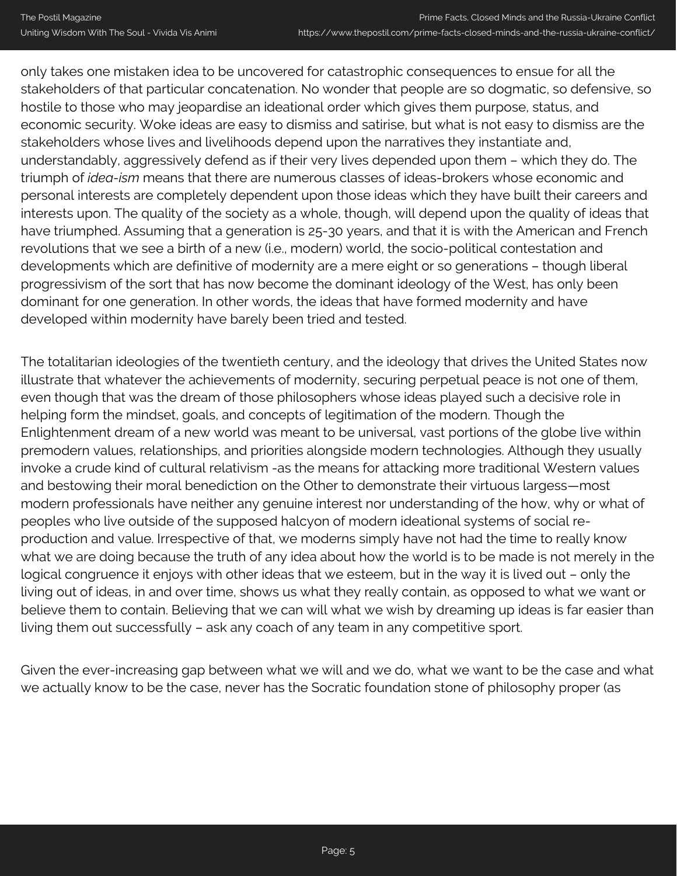only takes one mistaken idea to be uncovered for catastrophic consequences to ensue for all the stakeholders of that particular concatenation. No wonder that people are so dogmatic, so defensive, so hostile to those who may jeopardise an ideational order which gives them purpose, status, and economic security. Woke ideas are easy to dismiss and satirise, but what is not easy to dismiss are the stakeholders whose lives and livelihoods depend upon the narratives they instantiate and, understandably, aggressively defend as if their very lives depended upon them – which they do. The triumph of *idea-ism* means that there are numerous classes of ideas-brokers whose economic and personal interests are completely dependent upon those ideas which they have built their careers and interests upon. The quality of the society as a whole, though, will depend upon the quality of ideas that have triumphed. Assuming that a generation is 25-30 years, and that it is with the American and French revolutions that we see a birth of a new (i.e., modern) world, the socio-political contestation and developments which are definitive of modernity are a mere eight or so generations – though liberal progressivism of the sort that has now become the dominant ideology of the West, has only been dominant for one generation. In other words, the ideas that have formed modernity and have developed within modernity have barely been tried and tested.

The totalitarian ideologies of the twentieth century, and the ideology that drives the United States now illustrate that whatever the achievements of modernity, securing perpetual peace is not one of them, even though that was the dream of those philosophers whose ideas played such a decisive role in helping form the mindset, goals, and concepts of legitimation of the modern. Though the Enlightenment dream of a new world was meant to be universal, vast portions of the globe live within premodern values, relationships, and priorities alongside modern technologies. Although they usually invoke a crude kind of cultural relativism -as the means for attacking more traditional Western values and bestowing their moral benediction on the Other to demonstrate their virtuous largess—most modern professionals have neither any genuine interest nor understanding of the how, why or what of peoples who live outside of the supposed halcyon of modern ideational systems of social reproduction and value. Irrespective of that, we moderns simply have not had the time to really know what we are doing because the truth of any idea about how the world is to be made is not merely in the logical congruence it enjoys with other ideas that we esteem, but in the way it is lived out – only the living out of ideas, in and over time, shows us what they really contain, as opposed to what we want or believe them to contain. Believing that we can will what we wish by dreaming up ideas is far easier than living them out successfully – ask any coach of any team in any competitive sport.

Given the ever-increasing gap between what we will and we do, what we want to be the case and what we actually know to be the case, never has the Socratic foundation stone of philosophy proper (as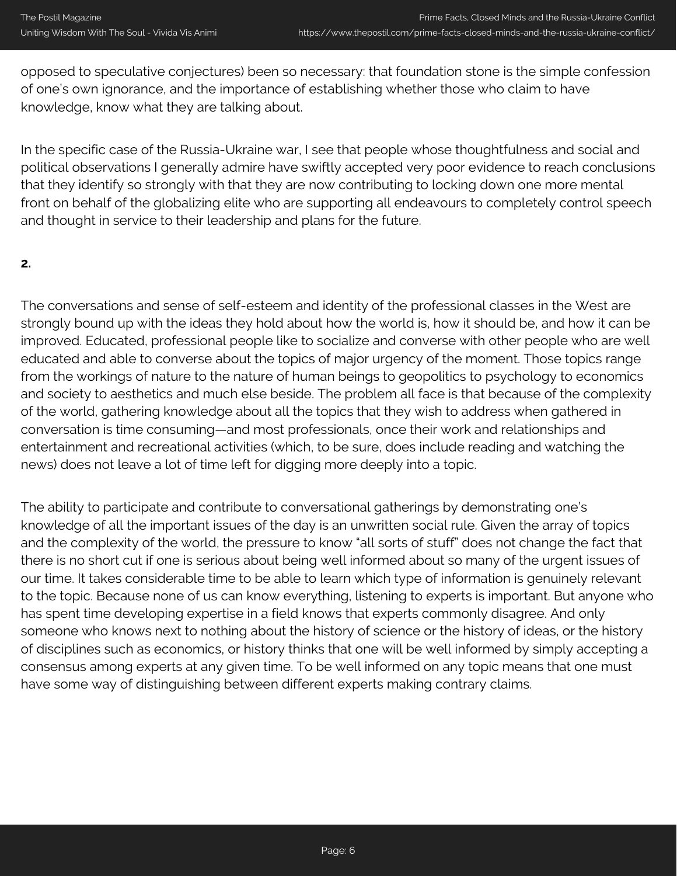opposed to speculative conjectures) been so necessary: that foundation stone is the simple confession of one's own ignorance, and the importance of establishing whether those who claim to have knowledge, know what they are talking about.

In the specific case of the Russia-Ukraine war, I see that people whose thoughtfulness and social and political observations I generally admire have swiftly accepted very poor evidence to reach conclusions that they identify so strongly with that they are now contributing to locking down one more mental front on behalf of the globalizing elite who are supporting all endeavours to completely control speech and thought in service to their leadership and plans for the future.

## **2.**

The conversations and sense of self-esteem and identity of the professional classes in the West are strongly bound up with the ideas they hold about how the world is, how it should be, and how it can be improved. Educated, professional people like to socialize and converse with other people who are well educated and able to converse about the topics of major urgency of the moment. Those topics range from the workings of nature to the nature of human beings to geopolitics to psychology to economics and society to aesthetics and much else beside. The problem all face is that because of the complexity of the world, gathering knowledge about all the topics that they wish to address when gathered in conversation is time consuming—and most professionals, once their work and relationships and entertainment and recreational activities (which, to be sure, does include reading and watching the news) does not leave a lot of time left for digging more deeply into a topic.

The ability to participate and contribute to conversational gatherings by demonstrating one's knowledge of all the important issues of the day is an unwritten social rule. Given the array of topics and the complexity of the world, the pressure to know "all sorts of stuff" does not change the fact that there is no short cut if one is serious about being well informed about so many of the urgent issues of our time. It takes considerable time to be able to learn which type of information is genuinely relevant to the topic. Because none of us can know everything, listening to experts is important. But anyone who has spent time developing expertise in a field knows that experts commonly disagree. And only someone who knows next to nothing about the history of science or the history of ideas, or the history of disciplines such as economics, or history thinks that one will be well informed by simply accepting a consensus among experts at any given time. To be well informed on any topic means that one must have some way of distinguishing between different experts making contrary claims.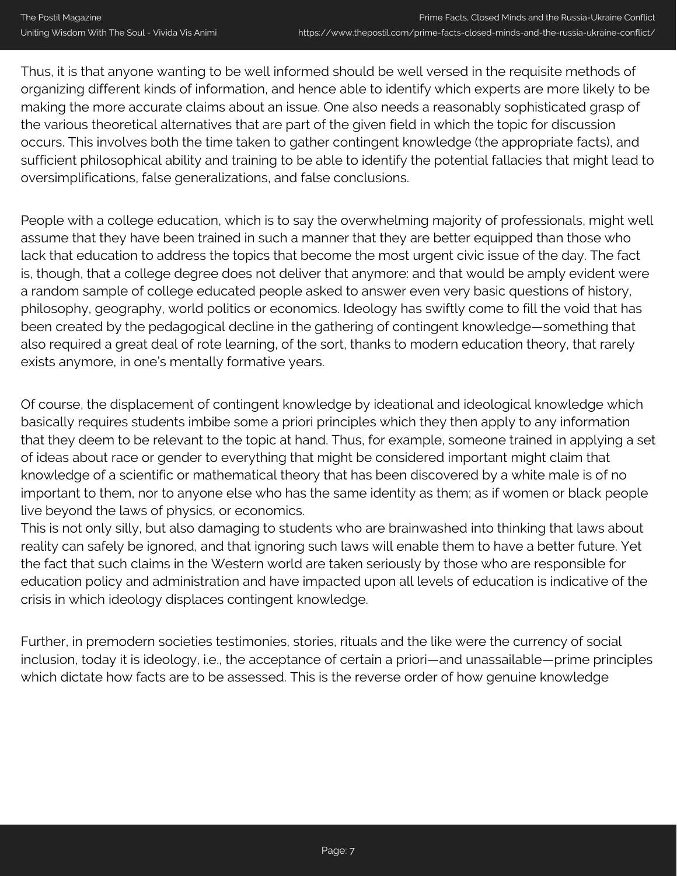Thus, it is that anyone wanting to be well informed should be well versed in the requisite methods of organizing different kinds of information, and hence able to identify which experts are more likely to be making the more accurate claims about an issue. One also needs a reasonably sophisticated grasp of the various theoretical alternatives that are part of the given field in which the topic for discussion occurs. This involves both the time taken to gather contingent knowledge (the appropriate facts), and sufficient philosophical ability and training to be able to identify the potential fallacies that might lead to oversimplifications, false generalizations, and false conclusions.

People with a college education, which is to say the overwhelming majority of professionals, might well assume that they have been trained in such a manner that they are better equipped than those who lack that education to address the topics that become the most urgent civic issue of the day. The fact is, though, that a college degree does not deliver that anymore: and that would be amply evident were a random sample of college educated people asked to answer even very basic questions of history, philosophy, geography, world politics or economics. Ideology has swiftly come to fill the void that has been created by the pedagogical decline in the gathering of contingent knowledge—something that also required a great deal of rote learning, of the sort, thanks to modern education theory, that rarely exists anymore, in one's mentally formative years.

Of course, the displacement of contingent knowledge by ideational and ideological knowledge which basically requires students imbibe some a priori principles which they then apply to any information that they deem to be relevant to the topic at hand. Thus, for example, someone trained in applying a set of ideas about race or gender to everything that might be considered important might claim that knowledge of a scientific or mathematical theory that has been discovered by a white male is of no important to them, nor to anyone else who has the same identity as them; as if women or black people live beyond the laws of physics, or economics.

This is not only silly, but also damaging to students who are brainwashed into thinking that laws about reality can safely be ignored, and that ignoring such laws will enable them to have a better future. Yet the fact that such claims in the Western world are taken seriously by those who are responsible for education policy and administration and have impacted upon all levels of education is indicative of the crisis in which ideology displaces contingent knowledge.

Further, in premodern societies testimonies, stories, rituals and the like were the currency of social inclusion, today it is ideology, i.e., the acceptance of certain a priori—and unassailable—prime principles which dictate how facts are to be assessed. This is the reverse order of how genuine knowledge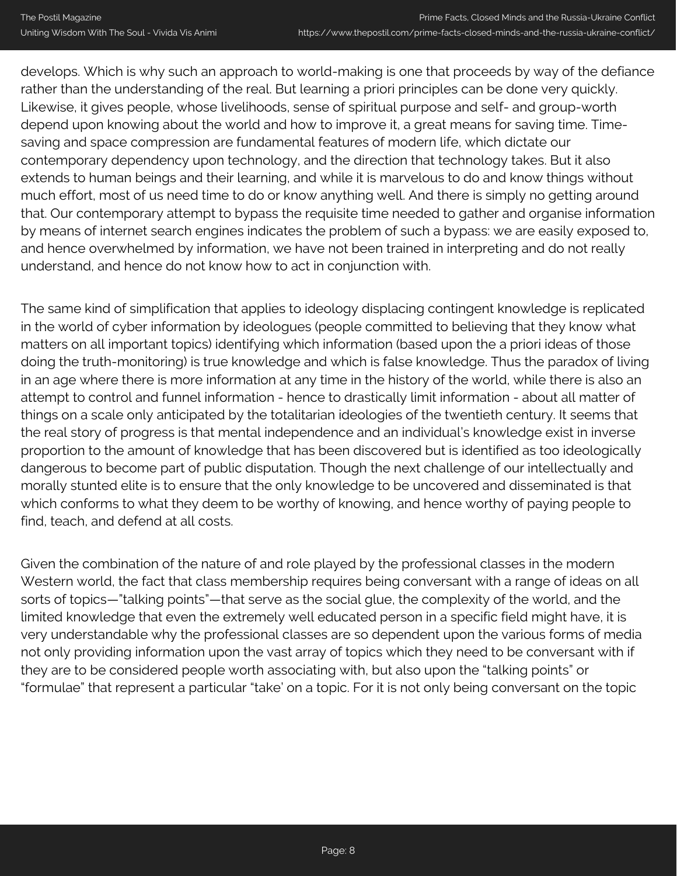develops. Which is why such an approach to world-making is one that proceeds by way of the defiance rather than the understanding of the real. But learning a priori principles can be done very quickly. Likewise, it gives people, whose livelihoods, sense of spiritual purpose and self- and group-worth depend upon knowing about the world and how to improve it, a great means for saving time. Timesaving and space compression are fundamental features of modern life, which dictate our contemporary dependency upon technology, and the direction that technology takes. But it also extends to human beings and their learning, and while it is marvelous to do and know things without much effort, most of us need time to do or know anything well. And there is simply no getting around that. Our contemporary attempt to bypass the requisite time needed to gather and organise information by means of internet search engines indicates the problem of such a bypass: we are easily exposed to, and hence overwhelmed by information, we have not been trained in interpreting and do not really understand, and hence do not know how to act in conjunction with.

The same kind of simplification that applies to ideology displacing contingent knowledge is replicated in the world of cyber information by ideologues (people committed to believing that they know what matters on all important topics) identifying which information (based upon the a priori ideas of those doing the truth-monitoring) is true knowledge and which is false knowledge. Thus the paradox of living in an age where there is more information at any time in the history of the world, while there is also an attempt to control and funnel information - hence to drastically limit information - about all matter of things on a scale only anticipated by the totalitarian ideologies of the twentieth century. It seems that the real story of progress is that mental independence and an individual's knowledge exist in inverse proportion to the amount of knowledge that has been discovered but is identified as too ideologically dangerous to become part of public disputation. Though the next challenge of our intellectually and morally stunted elite is to ensure that the only knowledge to be uncovered and disseminated is that which conforms to what they deem to be worthy of knowing, and hence worthy of paying people to find, teach, and defend at all costs.

Given the combination of the nature of and role played by the professional classes in the modern Western world, the fact that class membership requires being conversant with a range of ideas on all sorts of topics—"talking points"—that serve as the social glue, the complexity of the world, and the limited knowledge that even the extremely well educated person in a specific field might have, it is very understandable why the professional classes are so dependent upon the various forms of media not only providing information upon the vast array of topics which they need to be conversant with if they are to be considered people worth associating with, but also upon the "talking points" or "formulae" that represent a particular "take' on a topic. For it is not only being conversant on the topic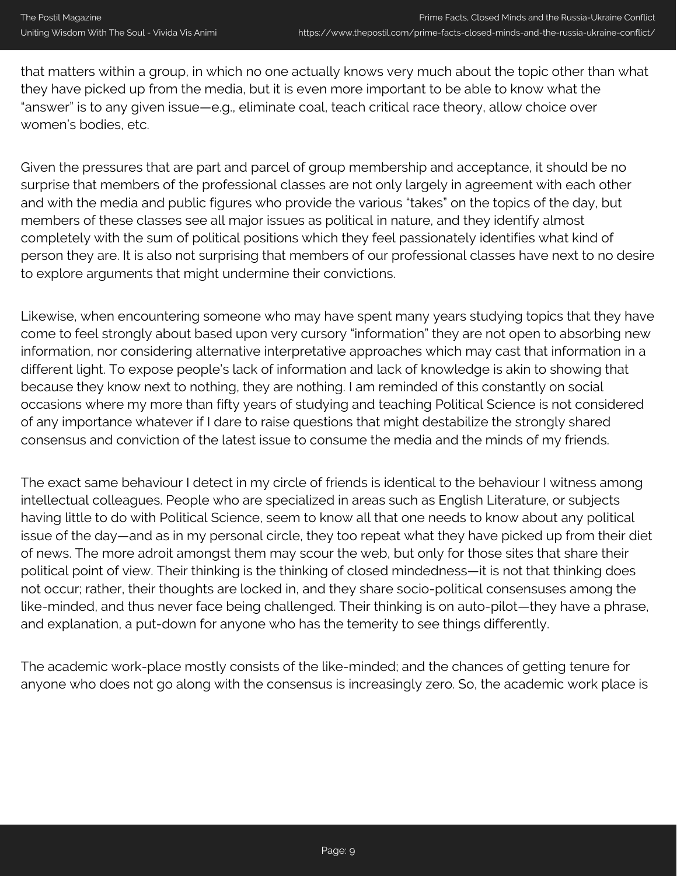that matters within a group, in which no one actually knows very much about the topic other than what they have picked up from the media, but it is even more important to be able to know what the "answer" is to any given issue—e.g., eliminate coal, teach critical race theory, allow choice over women's bodies, etc.

Given the pressures that are part and parcel of group membership and acceptance, it should be no surprise that members of the professional classes are not only largely in agreement with each other and with the media and public figures who provide the various "takes" on the topics of the day, but members of these classes see all major issues as political in nature, and they identify almost completely with the sum of political positions which they feel passionately identifies what kind of person they are. It is also not surprising that members of our professional classes have next to no desire to explore arguments that might undermine their convictions.

Likewise, when encountering someone who may have spent many years studying topics that they have come to feel strongly about based upon very cursory "information" they are not open to absorbing new information, nor considering alternative interpretative approaches which may cast that information in a different light. To expose people's lack of information and lack of knowledge is akin to showing that because they know next to nothing, they are nothing. I am reminded of this constantly on social occasions where my more than fifty years of studying and teaching Political Science is not considered of any importance whatever if I dare to raise questions that might destabilize the strongly shared consensus and conviction of the latest issue to consume the media and the minds of my friends.

The exact same behaviour I detect in my circle of friends is identical to the behaviour I witness among intellectual colleagues. People who are specialized in areas such as English Literature, or subjects having little to do with Political Science, seem to know all that one needs to know about any political issue of the day—and as in my personal circle, they too repeat what they have picked up from their diet of news. The more adroit amongst them may scour the web, but only for those sites that share their political point of view. Their thinking is the thinking of closed mindedness—it is not that thinking does not occur; rather, their thoughts are locked in, and they share socio-political consensuses among the like-minded, and thus never face being challenged. Their thinking is on auto-pilot—they have a phrase, and explanation, a put-down for anyone who has the temerity to see things differently.

The academic work-place mostly consists of the like-minded; and the chances of getting tenure for anyone who does not go along with the consensus is increasingly zero. So, the academic work place is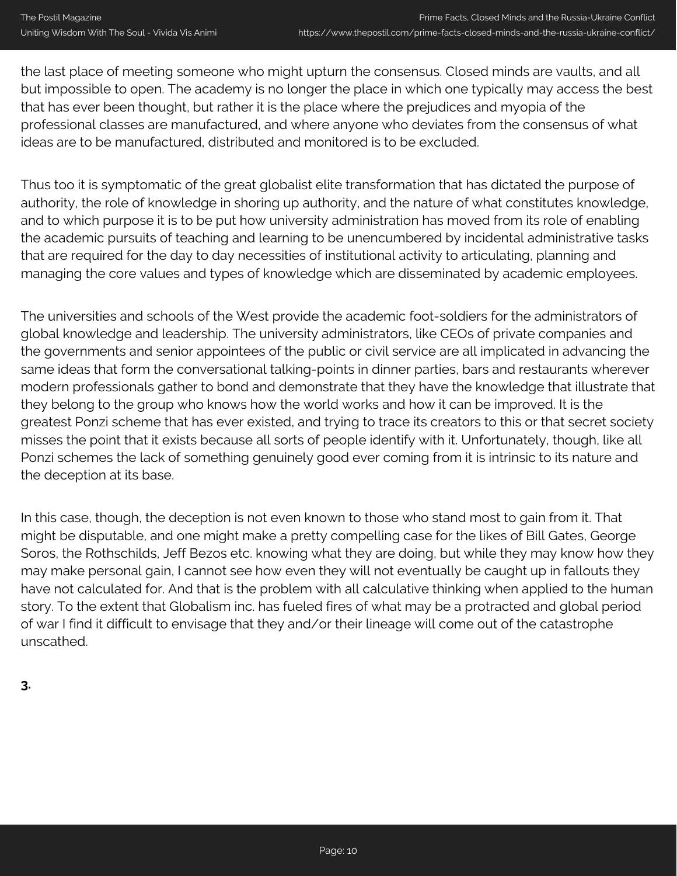the last place of meeting someone who might upturn the consensus. Closed minds are vaults, and all but impossible to open. The academy is no longer the place in which one typically may access the best that has ever been thought, but rather it is the place where the prejudices and myopia of the professional classes are manufactured, and where anyone who deviates from the consensus of what ideas are to be manufactured, distributed and monitored is to be excluded.

Thus too it is symptomatic of the great globalist elite transformation that has dictated the purpose of authority, the role of knowledge in shoring up authority, and the nature of what constitutes knowledge, and to which purpose it is to be put how university administration has moved from its role of enabling the academic pursuits of teaching and learning to be unencumbered by incidental administrative tasks that are required for the day to day necessities of institutional activity to articulating, planning and managing the core values and types of knowledge which are disseminated by academic employees.

The universities and schools of the West provide the academic foot-soldiers for the administrators of global knowledge and leadership. The university administrators, like CEOs of private companies and the governments and senior appointees of the public or civil service are all implicated in advancing the same ideas that form the conversational talking-points in dinner parties, bars and restaurants wherever modern professionals gather to bond and demonstrate that they have the knowledge that illustrate that they belong to the group who knows how the world works and how it can be improved. It is the greatest Ponzi scheme that has ever existed, and trying to trace its creators to this or that secret society misses the point that it exists because all sorts of people identify with it. Unfortunately, though, like all Ponzi schemes the lack of something genuinely good ever coming from it is intrinsic to its nature and the deception at its base.

In this case, though, the deception is not even known to those who stand most to gain from it. That might be disputable, and one might make a pretty compelling case for the likes of Bill Gates, George Soros, the Rothschilds, Jeff Bezos etc. knowing what they are doing, but while they may know how they may make personal gain, I cannot see how even they will not eventually be caught up in fallouts they have not calculated for. And that is the problem with all calculative thinking when applied to the human story. To the extent that Globalism inc. has fueled fires of what may be a protracted and global period of war I find it difficult to envisage that they and/or their lineage will come out of the catastrophe unscathed.

**3.**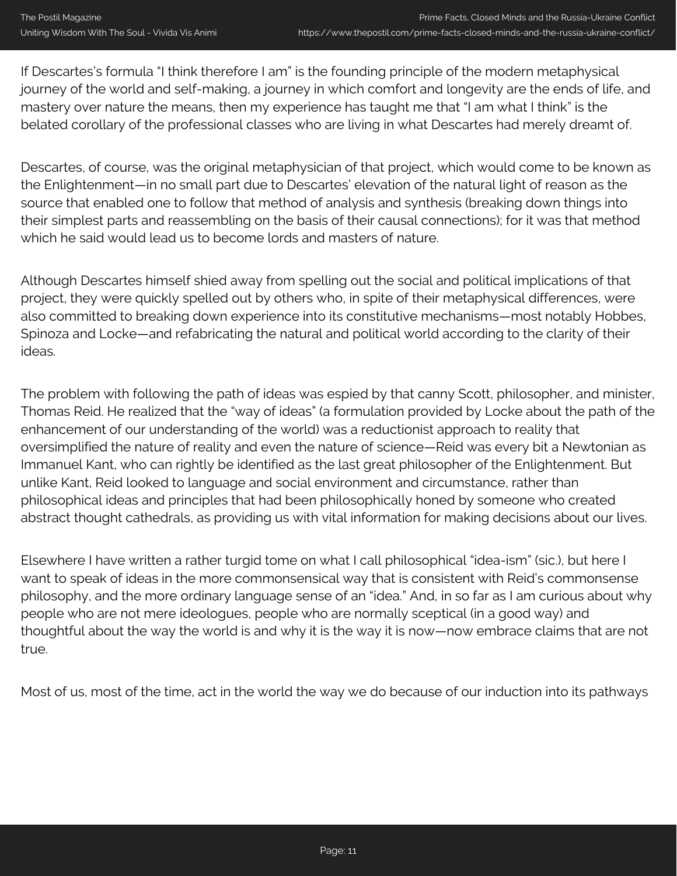If Descartes's formula "I think therefore I am" is the founding principle of the modern metaphysical journey of the world and self-making, a journey in which comfort and longevity are the ends of life, and mastery over nature the means, then my experience has taught me that "I am what I think" is the belated corollary of the professional classes who are living in what Descartes had merely dreamt of.

Descartes, of course, was the original metaphysician of that project, which would come to be known as the Enlightenment—in no small part due to Descartes' elevation of the natural light of reason as the source that enabled one to follow that method of analysis and synthesis (breaking down things into their simplest parts and reassembling on the basis of their causal connections); for it was that method which he said would lead us to become lords and masters of nature.

Although Descartes himself shied away from spelling out the social and political implications of that project, they were quickly spelled out by others who, in spite of their metaphysical differences, were also committed to breaking down experience into its constitutive mechanisms—most notably Hobbes, Spinoza and Locke—and refabricating the natural and political world according to the clarity of their ideas.

The problem with following the path of ideas was espied by that canny Scott, philosopher, and minister, Thomas Reid. He realized that the "way of ideas" (a formulation provided by Locke about the path of the enhancement of our understanding of the world) was a reductionist approach to reality that oversimplified the nature of reality and even the nature of science—Reid was every bit a Newtonian as Immanuel Kant, who can rightly be identified as the last great philosopher of the Enlightenment. But unlike Kant, Reid looked to language and social environment and circumstance, rather than philosophical ideas and principles that had been philosophically honed by someone who created abstract thought cathedrals, as providing us with vital information for making decisions about our lives.

Elsewhere I have written a rather turgid tome on what I call philosophical "idea-ism" (sic.), but here I want to speak of ideas in the more commonsensical way that is consistent with Reid's commonsense philosophy, and the more ordinary language sense of an "idea." And, in so far as I am curious about why people who are not mere ideologues, people who are normally sceptical (in a good way) and thoughtful about the way the world is and why it is the way it is now—now embrace claims that are not true.

Most of us, most of the time, act in the world the way we do because of our induction into its pathways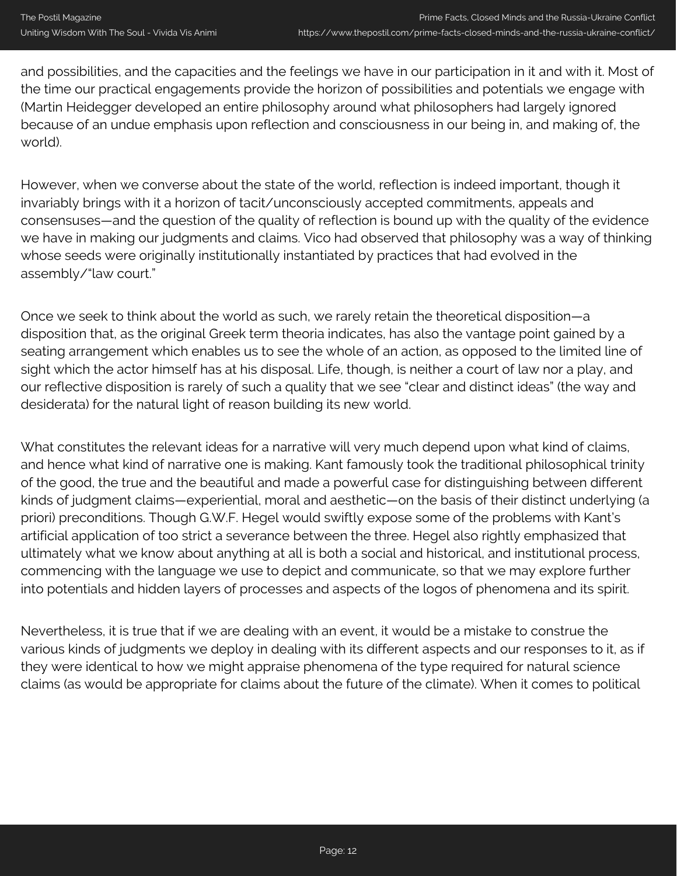and possibilities, and the capacities and the feelings we have in our participation in it and with it. Most of the time our practical engagements provide the horizon of possibilities and potentials we engage with (Martin Heidegger developed an entire philosophy around what philosophers had largely ignored because of an undue emphasis upon reflection and consciousness in our being in, and making of, the world).

However, when we converse about the state of the world, reflection is indeed important, though it invariably brings with it a horizon of tacit/unconsciously accepted commitments, appeals and consensuses—and the question of the quality of reflection is bound up with the quality of the evidence we have in making our judgments and claims. Vico had observed that philosophy was a way of thinking whose seeds were originally institutionally instantiated by practices that had evolved in the assembly/"law court."

Once we seek to think about the world as such, we rarely retain the theoretical disposition—a disposition that, as the original Greek term theoria indicates, has also the vantage point gained by a seating arrangement which enables us to see the whole of an action, as opposed to the limited line of sight which the actor himself has at his disposal. Life, though, is neither a court of law nor a play, and our reflective disposition is rarely of such a quality that we see "clear and distinct ideas" (the way and desiderata) for the natural light of reason building its new world.

What constitutes the relevant ideas for a narrative will very much depend upon what kind of claims, and hence what kind of narrative one is making. Kant famously took the traditional philosophical trinity of the good, the true and the beautiful and made a powerful case for distinguishing between different kinds of judgment claims—experiential, moral and aesthetic—on the basis of their distinct underlying (a priori) preconditions. Though G.W.F. Hegel would swiftly expose some of the problems with Kant's artificial application of too strict a severance between the three. Hegel also rightly emphasized that ultimately what we know about anything at all is both a social and historical, and institutional process, commencing with the language we use to depict and communicate, so that we may explore further into potentials and hidden layers of processes and aspects of the logos of phenomena and its spirit.

Nevertheless, it is true that if we are dealing with an event, it would be a mistake to construe the various kinds of judgments we deploy in dealing with its different aspects and our responses to it, as if they were identical to how we might appraise phenomena of the type required for natural science claims (as would be appropriate for claims about the future of the climate). When it comes to political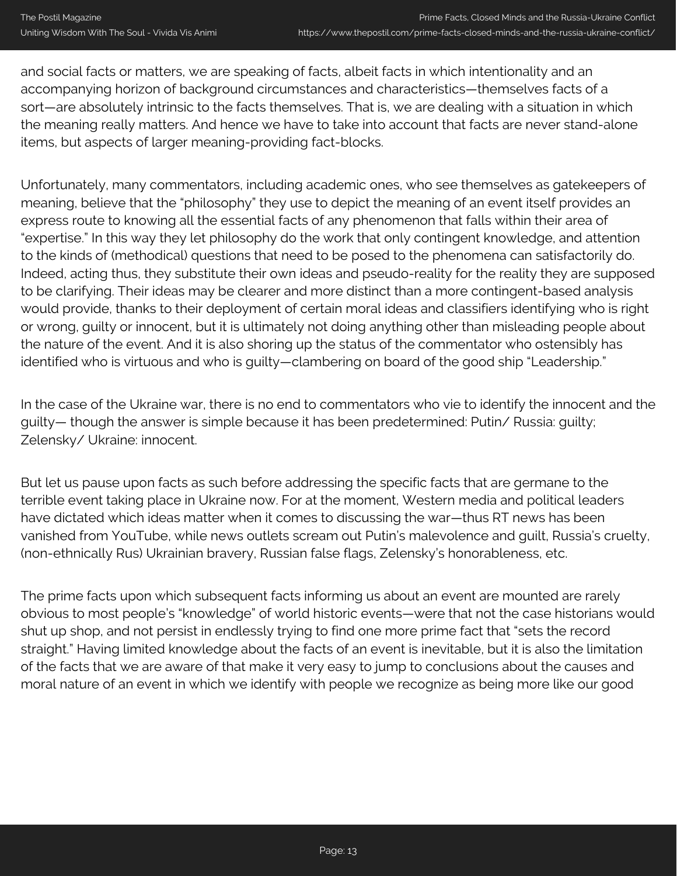and social facts or matters, we are speaking of facts, albeit facts in which intentionality and an accompanying horizon of background circumstances and characteristics—themselves facts of a sort—are absolutely intrinsic to the facts themselves. That is, we are dealing with a situation in which the meaning really matters. And hence we have to take into account that facts are never stand-alone items, but aspects of larger meaning-providing fact-blocks.

Unfortunately, many commentators, including academic ones, who see themselves as gatekeepers of meaning, believe that the "philosophy" they use to depict the meaning of an event itself provides an express route to knowing all the essential facts of any phenomenon that falls within their area of "expertise." In this way they let philosophy do the work that only contingent knowledge, and attention to the kinds of (methodical) questions that need to be posed to the phenomena can satisfactorily do. Indeed, acting thus, they substitute their own ideas and pseudo-reality for the reality they are supposed to be clarifying. Their ideas may be clearer and more distinct than a more contingent-based analysis would provide, thanks to their deployment of certain moral ideas and classifiers identifying who is right or wrong, guilty or innocent, but it is ultimately not doing anything other than misleading people about the nature of the event. And it is also shoring up the status of the commentator who ostensibly has identified who is virtuous and who is guilty—clambering on board of the good ship "Leadership."

In the case of the Ukraine war, there is no end to commentators who vie to identify the innocent and the guilty— though the answer is simple because it has been predetermined: Putin/ Russia: guilty; Zelensky/ Ukraine: innocent.

But let us pause upon facts as such before addressing the specific facts that are germane to the terrible event taking place in Ukraine now. For at the moment, Western media and political leaders have dictated which ideas matter when it comes to discussing the war—thus RT news has been vanished from YouTube, while news outlets scream out Putin's malevolence and guilt, Russia's cruelty, (non-ethnically Rus) Ukrainian bravery, Russian false flags, Zelensky's honorableness, etc.

The prime facts upon which subsequent facts informing us about an event are mounted are rarely obvious to most people's "knowledge" of world historic events—were that not the case historians would shut up shop, and not persist in endlessly trying to find one more prime fact that "sets the record straight." Having limited knowledge about the facts of an event is inevitable, but it is also the limitation of the facts that we are aware of that make it very easy to jump to conclusions about the causes and moral nature of an event in which we identify with people we recognize as being more like our good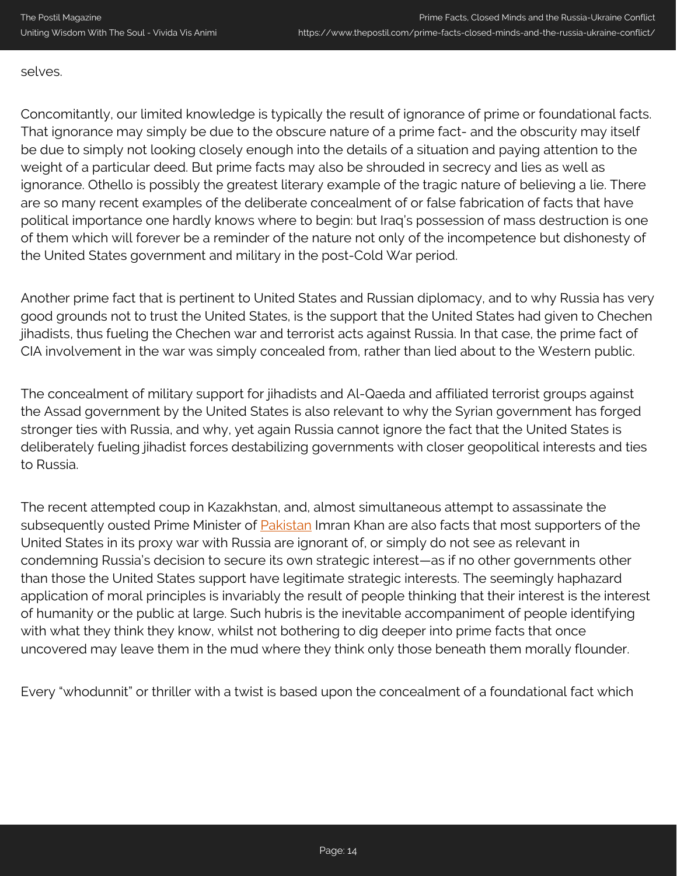## selves.

Concomitantly, our limited knowledge is typically the result of ignorance of prime or foundational facts. That ignorance may simply be due to the obscure nature of a prime fact- and the obscurity may itself be due to simply not looking closely enough into the details of a situation and paying attention to the weight of a particular deed. But prime facts may also be shrouded in secrecy and lies as well as ignorance. Othello is possibly the greatest literary example of the tragic nature of believing a lie. There are so many recent examples of the deliberate concealment of or false fabrication of facts that have political importance one hardly knows where to begin: but Iraq's possession of mass destruction is one of them which will forever be a reminder of the nature not only of the incompetence but dishonesty of the United States government and military in the post-Cold War period.

Another prime fact that is pertinent to United States and Russian diplomacy, and to why Russia has very good grounds not to trust the United States, is the support that the United States had given to Chechen jihadists, thus fueling the Chechen war and terrorist acts against Russia. In that case, the prime fact of CIA involvement in the war was simply concealed from, rather than lied about to the Western public.

The concealment of military support for jihadists and Al-Qaeda and affiliated terrorist groups against the Assad government by the United States is also relevant to why the Syrian government has forged stronger ties with Russia, and why, yet again Russia cannot ignore the fact that the United States is deliberately fueling jihadist forces destabilizing governments with closer geopolitical interests and ties to Russia.

The recent attempted coup in Kazakhstan, and, almost simultaneous attempt to assassinate the subsequently ousted Prime Minister of **[Pakistan](https://www.thepostil.com/pakistan-what-lies-ahead/)** Imran Khan are also facts that most supporters of the United States in its proxy war with Russia are ignorant of, or simply do not see as relevant in condemning Russia's decision to secure its own strategic interest—as if no other governments other than those the United States support have legitimate strategic interests. The seemingly haphazard application of moral principles is invariably the result of people thinking that their interest is the interest of humanity or the public at large. Such hubris is the inevitable accompaniment of people identifying with what they think they know, whilst not bothering to dig deeper into prime facts that once uncovered may leave them in the mud where they think only those beneath them morally flounder.

Every "whodunnit" or thriller with a twist is based upon the concealment of a foundational fact which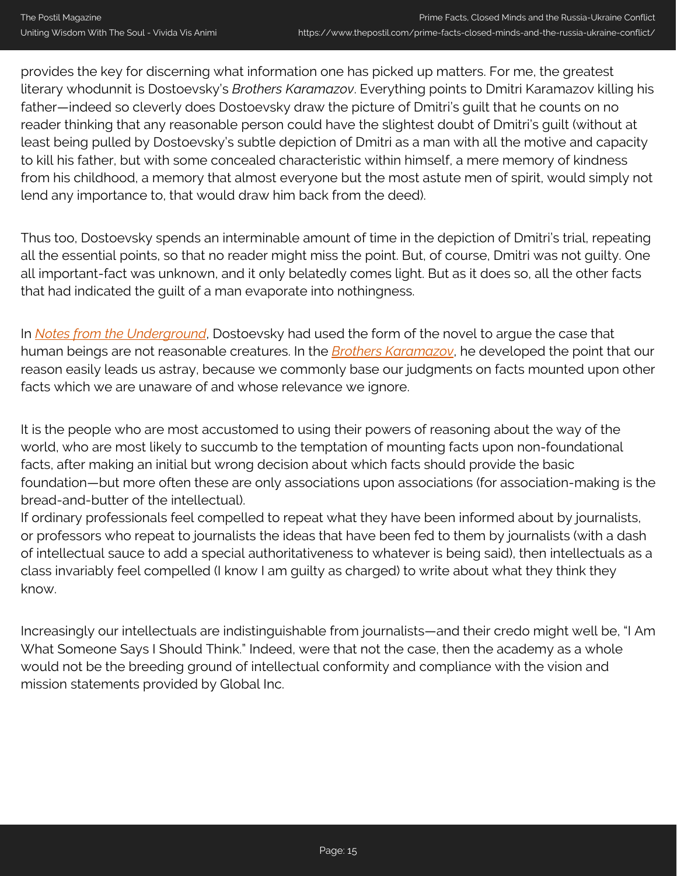provides the key for discerning what information one has picked up matters. For me, the greatest literary whodunnit is Dostoevsky's *Brothers Karamazov*. Everything points to Dmitri Karamazov killing his father—indeed so cleverly does Dostoevsky draw the picture of Dmitri's guilt that he counts on no reader thinking that any reasonable person could have the slightest doubt of Dmitri's guilt (without at least being pulled by Dostoevsky's subtle depiction of Dmitri as a man with all the motive and capacity to kill his father, but with some concealed characteristic within himself, a mere memory of kindness from his childhood, a memory that almost everyone but the most astute men of spirit, would simply not lend any importance to, that would draw him back from the deed).

Thus too, Dostoevsky spends an interminable amount of time in the depiction of Dmitri's trial, repeating all the essential points, so that no reader might miss the point. But, of course, Dmitri was not guilty. One all important-fact was unknown, and it only belatedly comes light. But as it does so, all the other facts that had indicated the guilt of a man evaporate into nothingness.

In *[Notes from the Underground](https://amzn.to/3rVM7qs)*, Dostoevsky had used the form of the novel to argue the case that human beings are not reasonable creatures. In the *[Brothers Karamazov](https://amzn.to/3EVJ3Qj)*, he developed the point that our reason easily leads us astray, because we commonly base our judgments on facts mounted upon other facts which we are unaware of and whose relevance we ignore.

It is the people who are most accustomed to using their powers of reasoning about the way of the world, who are most likely to succumb to the temptation of mounting facts upon non-foundational facts, after making an initial but wrong decision about which facts should provide the basic foundation—but more often these are only associations upon associations (for association-making is the bread-and-butter of the intellectual).

If ordinary professionals feel compelled to repeat what they have been informed about by journalists, or professors who repeat to journalists the ideas that have been fed to them by journalists (with a dash of intellectual sauce to add a special authoritativeness to whatever is being said), then intellectuals as a class invariably feel compelled (I know I am guilty as charged) to write about what they think they know.

Increasingly our intellectuals are indistinguishable from journalists—and their credo might well be, "I Am What Someone Says I Should Think." Indeed, were that not the case, then the academy as a whole would not be the breeding ground of intellectual conformity and compliance with the vision and mission statements provided by Global Inc.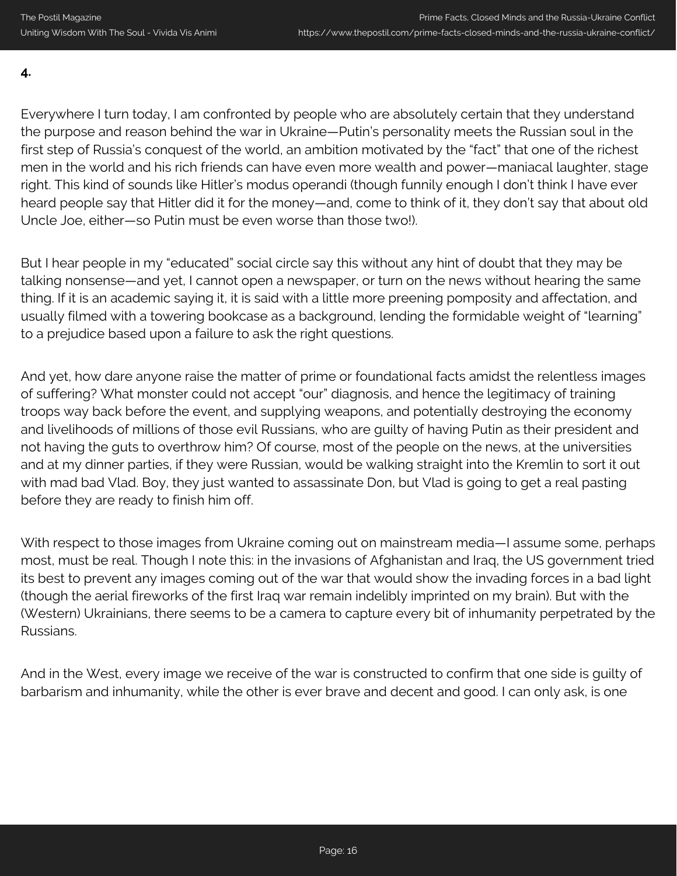**4.**

Everywhere I turn today, I am confronted by people who are absolutely certain that they understand the purpose and reason behind the war in Ukraine—Putin's personality meets the Russian soul in the first step of Russia's conquest of the world, an ambition motivated by the "fact" that one of the richest men in the world and his rich friends can have even more wealth and power—maniacal laughter, stage right. This kind of sounds like Hitler's modus operandi (though funnily enough I don't think I have ever heard people say that Hitler did it for the money—and, come to think of it, they don't say that about old Uncle Joe, either—so Putin must be even worse than those two!).

But I hear people in my "educated" social circle say this without any hint of doubt that they may be talking nonsense—and yet, I cannot open a newspaper, or turn on the news without hearing the same thing. If it is an academic saying it, it is said with a little more preening pomposity and affectation, and usually filmed with a towering bookcase as a background, lending the formidable weight of "learning" to a prejudice based upon a failure to ask the right questions.

And yet, how dare anyone raise the matter of prime or foundational facts amidst the relentless images of suffering? What monster could not accept "our" diagnosis, and hence the legitimacy of training troops way back before the event, and supplying weapons, and potentially destroying the economy and livelihoods of millions of those evil Russians, who are guilty of having Putin as their president and not having the guts to overthrow him? Of course, most of the people on the news, at the universities and at my dinner parties, if they were Russian, would be walking straight into the Kremlin to sort it out with mad bad Vlad. Boy, they just wanted to assassinate Don, but Vlad is going to get a real pasting before they are ready to finish him off.

With respect to those images from Ukraine coming out on mainstream media—I assume some, perhaps most, must be real. Though I note this: in the invasions of Afghanistan and Iraq, the US government tried its best to prevent any images coming out of the war that would show the invading forces in a bad light (though the aerial fireworks of the first Iraq war remain indelibly imprinted on my brain). But with the (Western) Ukrainians, there seems to be a camera to capture every bit of inhumanity perpetrated by the Russians.

And in the West, every image we receive of the war is constructed to confirm that one side is guilty of barbarism and inhumanity, while the other is ever brave and decent and good. I can only ask, is one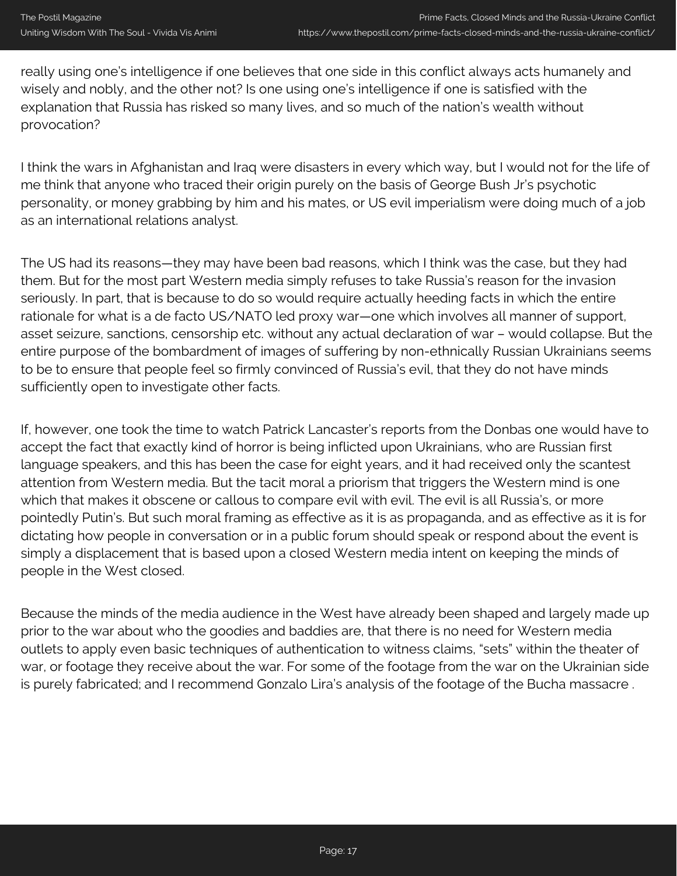really using one's intelligence if one believes that one side in this conflict always acts humanely and wisely and nobly, and the other not? Is one using one's intelligence if one is satisfied with the explanation that Russia has risked so many lives, and so much of the nation's wealth without provocation?

I think the wars in Afghanistan and Iraq were disasters in every which way, but I would not for the life of me think that anyone who traced their origin purely on the basis of George Bush Jr's psychotic personality, or money grabbing by him and his mates, or US evil imperialism were doing much of a job as an international relations analyst.

The US had its reasons—they may have been bad reasons, which I think was the case, but they had them. But for the most part Western media simply refuses to take Russia's reason for the invasion seriously. In part, that is because to do so would require actually heeding facts in which the entire rationale for what is a de facto US/NATO led proxy war—one which involves all manner of support, asset seizure, sanctions, censorship etc. without any actual declaration of war – would collapse. But the entire purpose of the bombardment of images of suffering by non-ethnically Russian Ukrainians seems to be to ensure that people feel so firmly convinced of Russia's evil, that they do not have minds sufficiently open to investigate other facts.

If, however, one took the time to watch Patrick Lancaster's reports from the Donbas one would have to accept the fact that exactly kind of horror is being inflicted upon Ukrainians, who are Russian first language speakers, and this has been the case for eight years, and it had received only the scantest attention from Western media. But the tacit moral a priorism that triggers the Western mind is one which that makes it obscene or callous to compare evil with evil. The evil is all Russia's, or more pointedly Putin's. But such moral framing as effective as it is as propaganda, and as effective as it is for dictating how people in conversation or in a public forum should speak or respond about the event is simply a displacement that is based upon a closed Western media intent on keeping the minds of people in the West closed.

Because the minds of the media audience in the West have already been shaped and largely made up prior to the war about who the goodies and baddies are, that there is no need for Western media outlets to apply even basic techniques of authentication to witness claims, "sets" within the theater of war, or footage they receive about the war. For some of the footage from the war on the Ukrainian side is purely fabricated; and I recommend Gonzalo Lira's analysis of the footage of the Bucha massacre .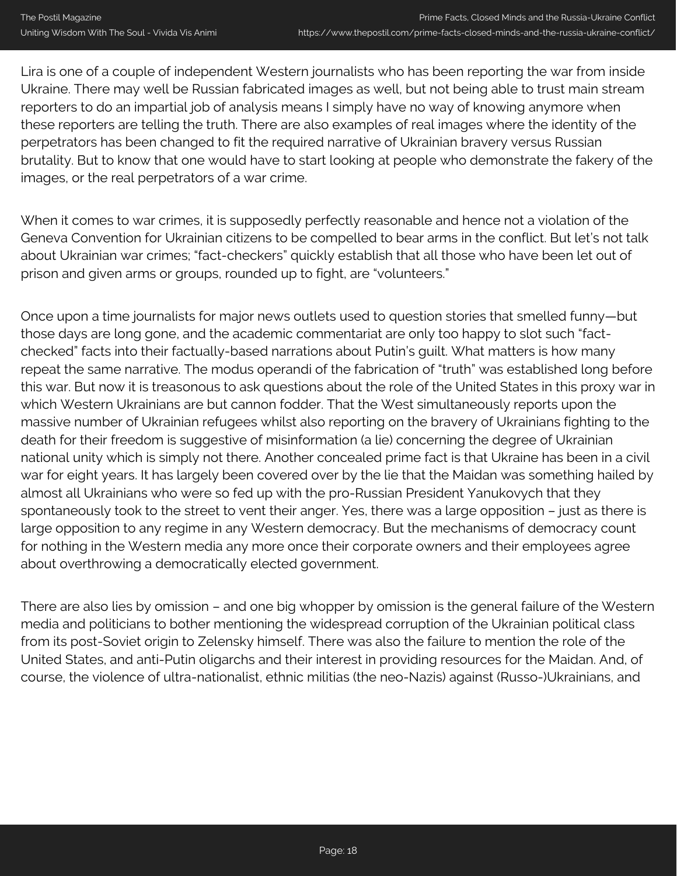Lira is one of a couple of independent Western journalists who has been reporting the war from inside Ukraine. There may well be Russian fabricated images as well, but not being able to trust main stream reporters to do an impartial job of analysis means I simply have no way of knowing anymore when these reporters are telling the truth. There are also examples of real images where the identity of the perpetrators has been changed to fit the required narrative of Ukrainian bravery versus Russian brutality. But to know that one would have to start looking at people who demonstrate the fakery of the images, or the real perpetrators of a war crime.

When it comes to war crimes, it is supposedly perfectly reasonable and hence not a violation of the Geneva Convention for Ukrainian citizens to be compelled to bear arms in the conflict. But let's not talk about Ukrainian war crimes; "fact-checkers" quickly establish that all those who have been let out of prison and given arms or groups, rounded up to fight, are "volunteers."

Once upon a time journalists for major news outlets used to question stories that smelled funny—but those days are long gone, and the academic commentariat are only too happy to slot such "factchecked" facts into their factually-based narrations about Putin's guilt. What matters is how many repeat the same narrative. The modus operandi of the fabrication of "truth" was established long before this war. But now it is treasonous to ask questions about the role of the United States in this proxy war in which Western Ukrainians are but cannon fodder. That the West simultaneously reports upon the massive number of Ukrainian refugees whilst also reporting on the bravery of Ukrainians fighting to the death for their freedom is suggestive of misinformation (a lie) concerning the degree of Ukrainian national unity which is simply not there. Another concealed prime fact is that Ukraine has been in a civil war for eight years. It has largely been covered over by the lie that the Maidan was something hailed by almost all Ukrainians who were so fed up with the pro-Russian President Yanukovych that they spontaneously took to the street to vent their anger. Yes, there was a large opposition – just as there is large opposition to any regime in any Western democracy. But the mechanisms of democracy count for nothing in the Western media any more once their corporate owners and their employees agree about overthrowing a democratically elected government.

There are also lies by omission – and one big whopper by omission is the general failure of the Western media and politicians to bother mentioning the widespread corruption of the Ukrainian political class from its post-Soviet origin to Zelensky himself. There was also the failure to mention the role of the United States, and anti-Putin oligarchs and their interest in providing resources for the Maidan. And, of course, the violence of ultra-nationalist, ethnic militias (the neo-Nazis) against (Russo-)Ukrainians, and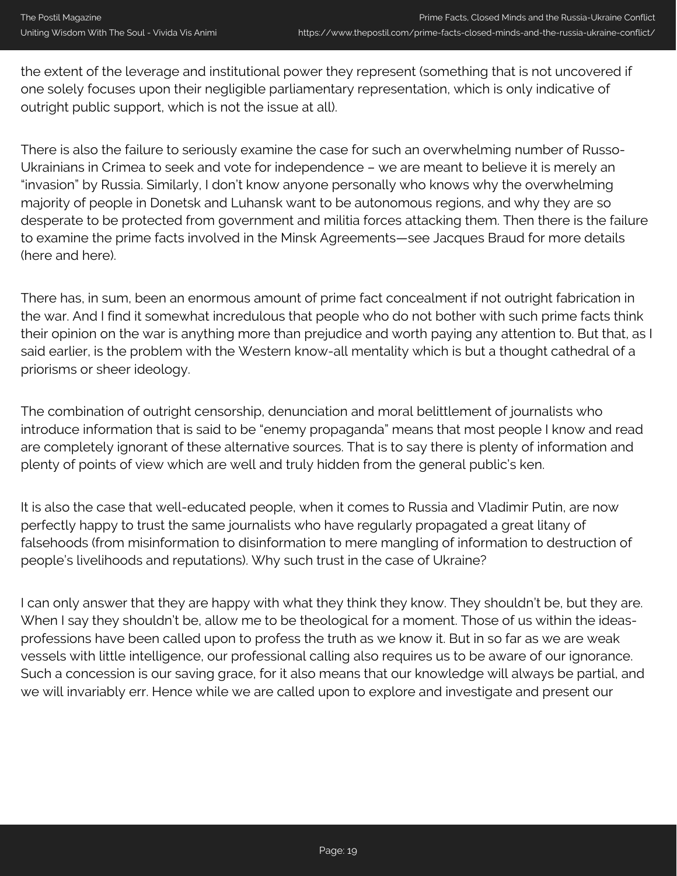the extent of the leverage and institutional power they represent (something that is not uncovered if one solely focuses upon their negligible parliamentary representation, which is only indicative of outright public support, which is not the issue at all).

There is also the failure to seriously examine the case for such an overwhelming number of Russo-Ukrainians in Crimea to seek and vote for independence – we are meant to believe it is merely an "invasion" by Russia. Similarly, I don't know anyone personally who knows why the overwhelming majority of people in Donetsk and Luhansk want to be autonomous regions, and why they are so desperate to be protected from government and militia forces attacking them. Then there is the failure to examine the prime facts involved in the Minsk Agreements—see Jacques Braud for more details (here and here).

There has, in sum, been an enormous amount of prime fact concealment if not outright fabrication in the war. And I find it somewhat incredulous that people who do not bother with such prime facts think their opinion on the war is anything more than prejudice and worth paying any attention to. But that, as I said earlier, is the problem with the Western know-all mentality which is but a thought cathedral of a priorisms or sheer ideology.

The combination of outright censorship, denunciation and moral belittlement of journalists who introduce information that is said to be "enemy propaganda" means that most people I know and read are completely ignorant of these alternative sources. That is to say there is plenty of information and plenty of points of view which are well and truly hidden from the general public's ken.

It is also the case that well-educated people, when it comes to Russia and Vladimir Putin, are now perfectly happy to trust the same journalists who have regularly propagated a great litany of falsehoods (from misinformation to disinformation to mere mangling of information to destruction of people's livelihoods and reputations). Why such trust in the case of Ukraine?

I can only answer that they are happy with what they think they know. They shouldn't be, but they are. When I say they shouldn't be, allow me to be theological for a moment. Those of us within the ideasprofessions have been called upon to profess the truth as we know it. But in so far as we are weak vessels with little intelligence, our professional calling also requires us to be aware of our ignorance. Such a concession is our saving grace, for it also means that our knowledge will always be partial, and we will invariably err. Hence while we are called upon to explore and investigate and present our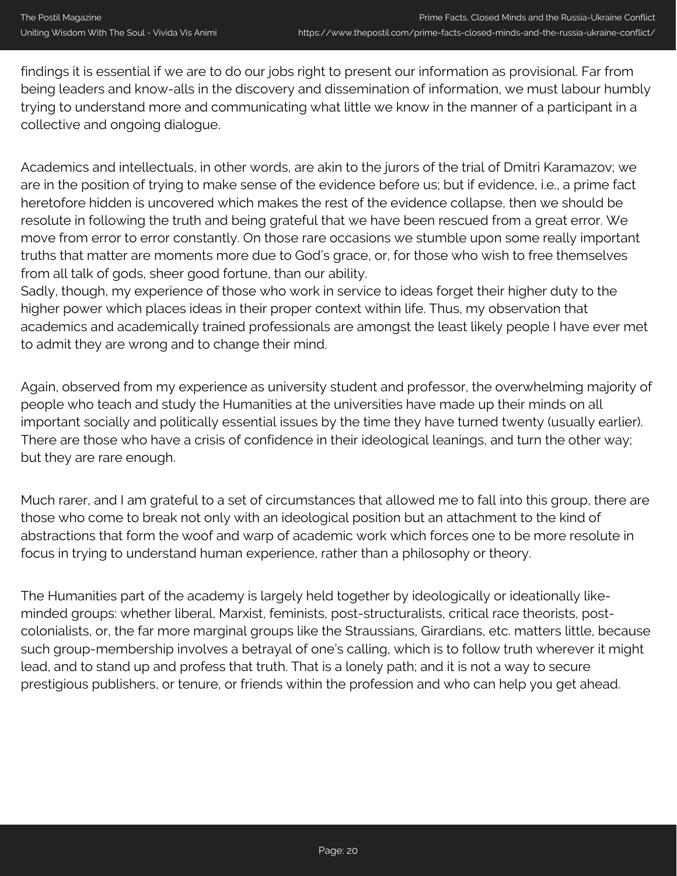findings it is essential if we are to do our jobs right to present our information as provisional. Far from being leaders and know-alls in the discovery and dissemination of information, we must labour humbly trying to understand more and communicating what little we know in the manner of a participant in a collective and ongoing dialogue.

Academics and intellectuals, in other words, are akin to the jurors of the trial of Dmitri Karamazov; we are in the position of trying to make sense of the evidence before us; but if evidence, i.e., a prime fact heretofore hidden is uncovered which makes the rest of the evidence collapse, then we should be resolute in following the truth and being grateful that we have been rescued from a great error. We move from error to error constantly. On those rare occasions we stumble upon some really important truths that matter are moments more due to God's grace, or, for those who wish to free themselves from all talk of gods, sheer good fortune, than our ability.

Sadly, though, my experience of those who work in service to ideas forget their higher duty to the higher power which places ideas in their proper context within life. Thus, my observation that academics and academically trained professionals are amongst the least likely people I have ever met to admit they are wrong and to change their mind.

Again, observed from my experience as university student and professor, the overwhelming majority of people who teach and study the Humanities at the universities have made up their minds on all important socially and politically essential issues by the time they have turned twenty (usually earlier). There are those who have a crisis of confidence in their ideological leanings, and turn the other way; but they are rare enough.

Much rarer, and I am grateful to a set of circumstances that allowed me to fall into this group, there are those who come to break not only with an ideological position but an attachment to the kind of abstractions that form the woof and warp of academic work which forces one to be more resolute in focus in trying to understand human experience, rather than a philosophy or theory.

The Humanities part of the academy is largely held together by ideologically or ideationally likeminded groups: whether liberal, Marxist, feminists, post-structuralists, critical race theorists, postcolonialists, or, the far more marginal groups like the Straussians, Girardians, etc. matters little, because such group-membership involves a betrayal of one's calling, which is to follow truth wherever it might lead, and to stand up and profess that truth. That is a lonely path; and it is not a way to secure prestigious publishers, or tenure, or friends within the profession and who can help you get ahead.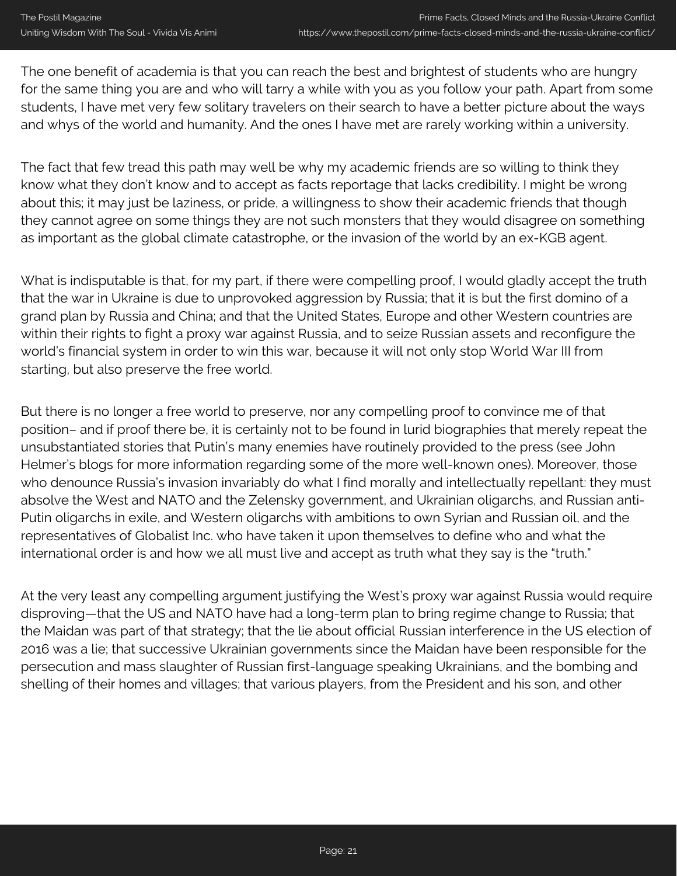The one benefit of academia is that you can reach the best and brightest of students who are hungry for the same thing you are and who will tarry a while with you as you follow your path. Apart from some students, I have met very few solitary travelers on their search to have a better picture about the ways and whys of the world and humanity. And the ones I have met are rarely working within a university.

The fact that few tread this path may well be why my academic friends are so willing to think they know what they don't know and to accept as facts reportage that lacks credibility. I might be wrong about this; it may just be laziness, or pride, a willingness to show their academic friends that though they cannot agree on some things they are not such monsters that they would disagree on something as important as the global climate catastrophe, or the invasion of the world by an ex-KGB agent.

What is indisputable is that, for my part, if there were compelling proof, I would gladly accept the truth that the war in Ukraine is due to unprovoked aggression by Russia; that it is but the first domino of a grand plan by Russia and China; and that the United States, Europe and other Western countries are within their rights to fight a proxy war against Russia, and to seize Russian assets and reconfigure the world's financial system in order to win this war, because it will not only stop World War III from starting, but also preserve the free world.

But there is no longer a free world to preserve, nor any compelling proof to convince me of that position– and if proof there be, it is certainly not to be found in lurid biographies that merely repeat the unsubstantiated stories that Putin's many enemies have routinely provided to the press (see John Helmer's blogs for more information regarding some of the more well-known ones). Moreover, those who denounce Russia's invasion invariably do what I find morally and intellectually repellant: they must absolve the West and NATO and the Zelensky government, and Ukrainian oligarchs, and Russian anti-Putin oligarchs in exile, and Western oligarchs with ambitions to own Syrian and Russian oil, and the representatives of Globalist Inc. who have taken it upon themselves to define who and what the international order is and how we all must live and accept as truth what they say is the "truth."

At the very least any compelling argument justifying the West's proxy war against Russia would require disproving—that the US and NATO have had a long-term plan to bring regime change to Russia; that the Maidan was part of that strategy; that the lie about official Russian interference in the US election of 2016 was a lie; that successive Ukrainian governments since the Maidan have been responsible for the persecution and mass slaughter of Russian first-language speaking Ukrainians, and the bombing and shelling of their homes and villages; that various players, from the President and his son, and other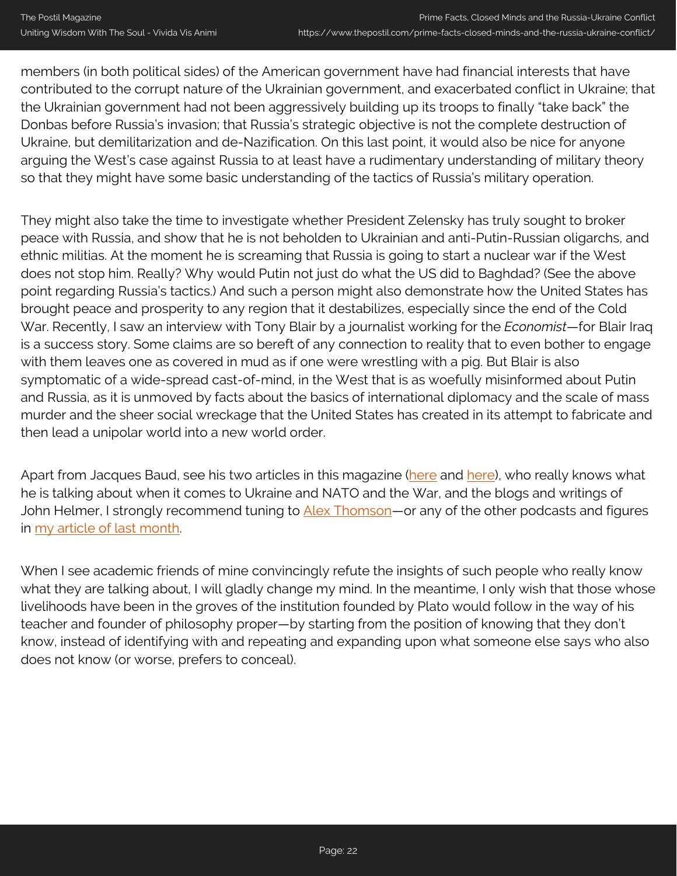members (in both political sides) of the American government have had financial interests that have contributed to the corrupt nature of the Ukrainian government, and exacerbated conflict in Ukraine; that the Ukrainian government had not been aggressively building up its troops to finally "take back" the Donbas before Russia's invasion; that Russia's strategic objective is not the complete destruction of Ukraine, but demilitarization and de-Nazification. On this last point, it would also be nice for anyone arguing the West's case against Russia to at least have a rudimentary understanding of military theory so that they might have some basic understanding of the tactics of Russia's military operation.

They might also take the time to investigate whether President Zelensky has truly sought to broker peace with Russia, and show that he is not beholden to Ukrainian and anti-Putin-Russian oligarchs, and ethnic militias. At the moment he is screaming that Russia is going to start a nuclear war if the West does not stop him. Really? Why would Putin not just do what the US did to Baghdad? (See the above point regarding Russia's tactics.) And such a person might also demonstrate how the United States has brought peace and prosperity to any region that it destabilizes, especially since the end of the Cold War. Recently, I saw an interview with Tony Blair by a journalist working for the *Economist*—for Blair Iraq is a success story. Some claims are so bereft of any connection to reality that to even bother to engage with them leaves one as covered in mud as if one were wrestling with a pig. But Blair is also symptomatic of a wide-spread cast-of-mind, in the West that is as woefully misinformed about Putin and Russia, as it is unmoved by facts about the basics of international diplomacy and the scale of mass murder and the sheer social wreckage that the United States has created in its attempt to fabricate and then lead a unipolar world into a new world order.

Apart from Jacques Baud, see his two articles in this magazine [\(here](https://www.thepostil.com/the-military-situation-in-the-ukraine/) and [here\)](https://www.thepostil.com/the-military-situation-in-the-ukraine-an-update/), who really knows what he is talking about when it comes to Ukraine and NATO and the War, and the blogs and writings of John Helmer, I strongly recommend tuning to [Alex Thomson](https://www.youtube.com/c/AlexThomson-EasternApproaches/playlists)—or any of the other podcasts and figures in [my article of last month](https://www.thepostil.com/the-russia-ukraine-conflict-and-the-tumult-of-our-time/).

When I see academic friends of mine convincingly refute the insights of such people who really know what they are talking about, I will gladly change my mind. In the meantime, I only wish that those whose livelihoods have been in the groves of the institution founded by Plato would follow in the way of his teacher and founder of philosophy proper—by starting from the position of knowing that they don't know, instead of identifying with and repeating and expanding upon what someone else says who also does not know (or worse, prefers to conceal).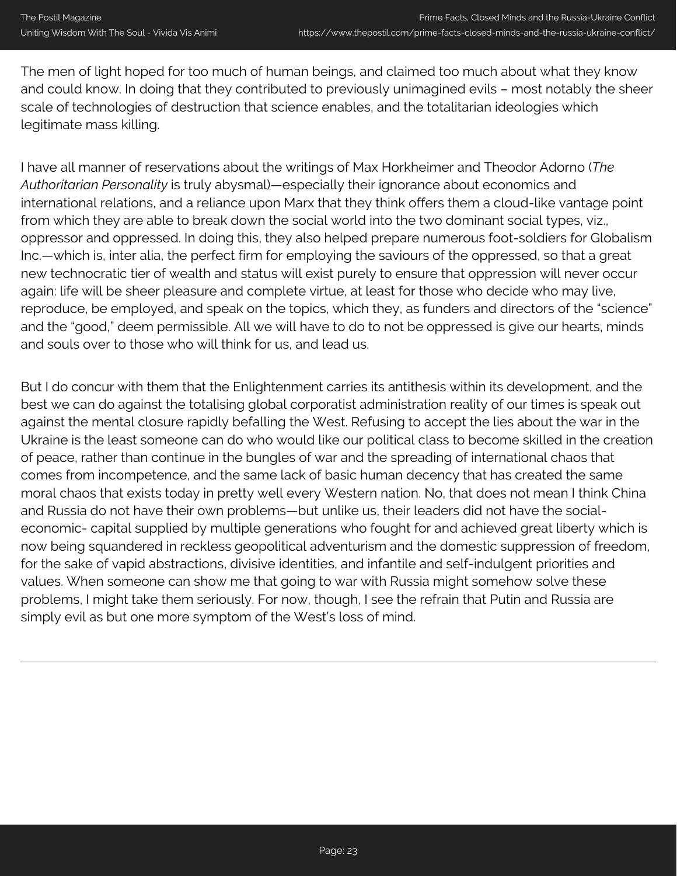The men of light hoped for too much of human beings, and claimed too much about what they know and could know. In doing that they contributed to previously unimagined evils – most notably the sheer scale of technologies of destruction that science enables, and the totalitarian ideologies which legitimate mass killing.

I have all manner of reservations about the writings of Max Horkheimer and Theodor Adorno (*The Authoritarian Personality* is truly abysmal)—especially their ignorance about economics and international relations, and a reliance upon Marx that they think offers them a cloud-like vantage point from which they are able to break down the social world into the two dominant social types, viz., oppressor and oppressed. In doing this, they also helped prepare numerous foot-soldiers for Globalism Inc.—which is, inter alia, the perfect firm for employing the saviours of the oppressed, so that a great new technocratic tier of wealth and status will exist purely to ensure that oppression will never occur again: life will be sheer pleasure and complete virtue, at least for those who decide who may live, reproduce, be employed, and speak on the topics, which they, as funders and directors of the "science" and the "good," deem permissible. All we will have to do to not be oppressed is give our hearts, minds and souls over to those who will think for us, and lead us.

But I do concur with them that the Enlightenment carries its antithesis within its development, and the best we can do against the totalising global corporatist administration reality of our times is speak out against the mental closure rapidly befalling the West. Refusing to accept the lies about the war in the Ukraine is the least someone can do who would like our political class to become skilled in the creation of peace, rather than continue in the bungles of war and the spreading of international chaos that comes from incompetence, and the same lack of basic human decency that has created the same moral chaos that exists today in pretty well every Western nation. No, that does not mean I think China and Russia do not have their own problems—but unlike us, their leaders did not have the socialeconomic- capital supplied by multiple generations who fought for and achieved great liberty which is now being squandered in reckless geopolitical adventurism and the domestic suppression of freedom, for the sake of vapid abstractions, divisive identities, and infantile and self-indulgent priorities and values. When someone can show me that going to war with Russia might somehow solve these problems, I might take them seriously. For now, though, I see the refrain that Putin and Russia are simply evil as but one more symptom of the West's loss of mind.